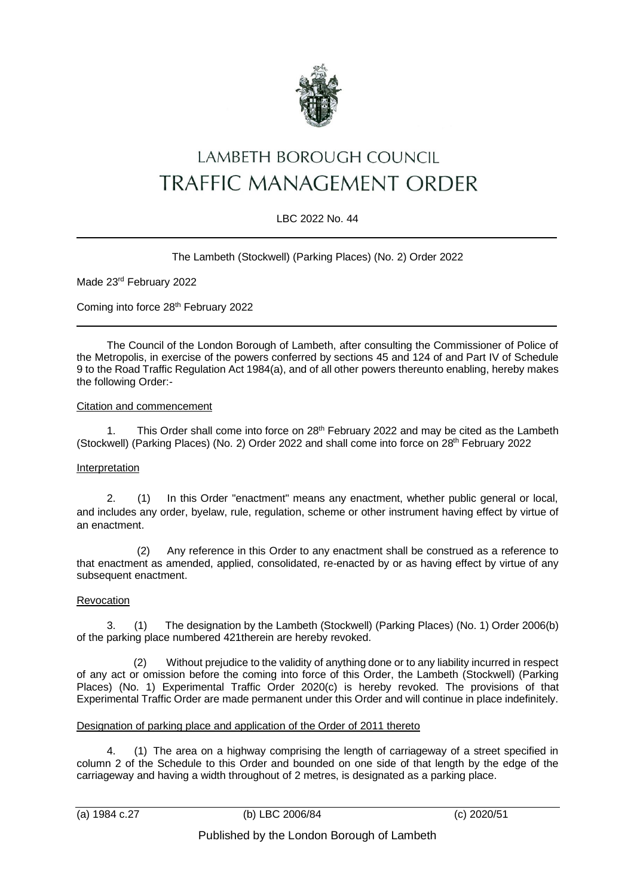

# LAMBETH BOROUGH COUNCIL TRAFFIC MANAGEMENT ORDER

## LBC 2022 No. 44

### The Lambeth (Stockwell) (Parking Places) (No. 2) Order 2022

Made 23rd February 2022

Coming into force 28<sup>th</sup> February 2022

The Council of the London Borough of Lambeth, after consulting the Commissioner of Police of the Metropolis, in exercise of the powers conferred by sections 45 and 124 of and Part IV of Schedule 9 to the Road Traffic Regulation Act 1984(a), and of all other powers thereunto enabling, hereby makes the following Order:-

#### Citation and commencement

1. This Order shall come into force on 28<sup>th</sup> February 2022 and may be cited as the Lambeth (Stockwell) (Parking Places) (No. 2) Order 2022 and shall come into force on 28th February 2022

#### Interpretation

2. (1) In this Order "enactment" means any enactment, whether public general or local, and includes any order, byelaw, rule, regulation, scheme or other instrument having effect by virtue of an enactment.

(2) Any reference in this Order to any enactment shall be construed as a reference to that enactment as amended, applied, consolidated, re-enacted by or as having effect by virtue of any subsequent enactment.

#### Revocation

3. (1) The designation by the Lambeth (Stockwell) (Parking Places) (No. 1) Order 2006(b) of the parking place numbered 421therein are hereby revoked.

 (2) Without prejudice to the validity of anything done or to any liability incurred in respect of any act or omission before the coming into force of this Order, the Lambeth (Stockwell) (Parking Places) (No. 1) Experimental Traffic Order 2020(c) is hereby revoked. The provisions of that Experimental Traffic Order are made permanent under this Order and will continue in place indefinitely.

## Designation of parking place and application of the Order of 2011 thereto

4. (1) The area on a highway comprising the length of carriageway of a street specified in column 2 of the Schedule to this Order and bounded on one side of that length by the edge of the carriageway and having a width throughout of 2 metres, is designated as a parking place.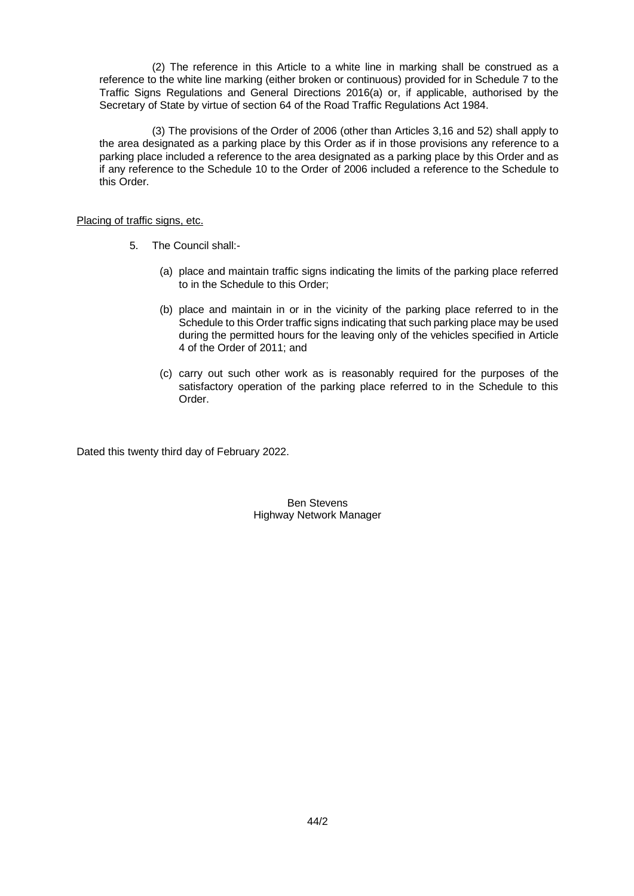(2) The reference in this Article to a white line in marking shall be construed as a reference to the white line marking (either broken or continuous) provided for in Schedule 7 to the Traffic Signs Regulations and General Directions 2016(a) or, if applicable, authorised by the Secretary of State by virtue of section 64 of the Road Traffic Regulations Act 1984.

(3) The provisions of the Order of 2006 (other than Articles 3,16 and 52) shall apply to the area designated as a parking place by this Order as if in those provisions any reference to a parking place included a reference to the area designated as a parking place by this Order and as if any reference to the Schedule 10 to the Order of 2006 included a reference to the Schedule to this Order.

#### Placing of traffic signs, etc.

- 5. The Council shall:-
	- (a) place and maintain traffic signs indicating the limits of the parking place referred to in the Schedule to this Order;
	- (b) place and maintain in or in the vicinity of the parking place referred to in the Schedule to this Order traffic signs indicating that such parking place may be used during the permitted hours for the leaving only of the vehicles specified in Article 4 of the Order of 2011; and
	- (c) carry out such other work as is reasonably required for the purposes of the satisfactory operation of the parking place referred to in the Schedule to this Order.

Dated this twenty third day of February 2022.

Ben Stevens Highway Network Manager